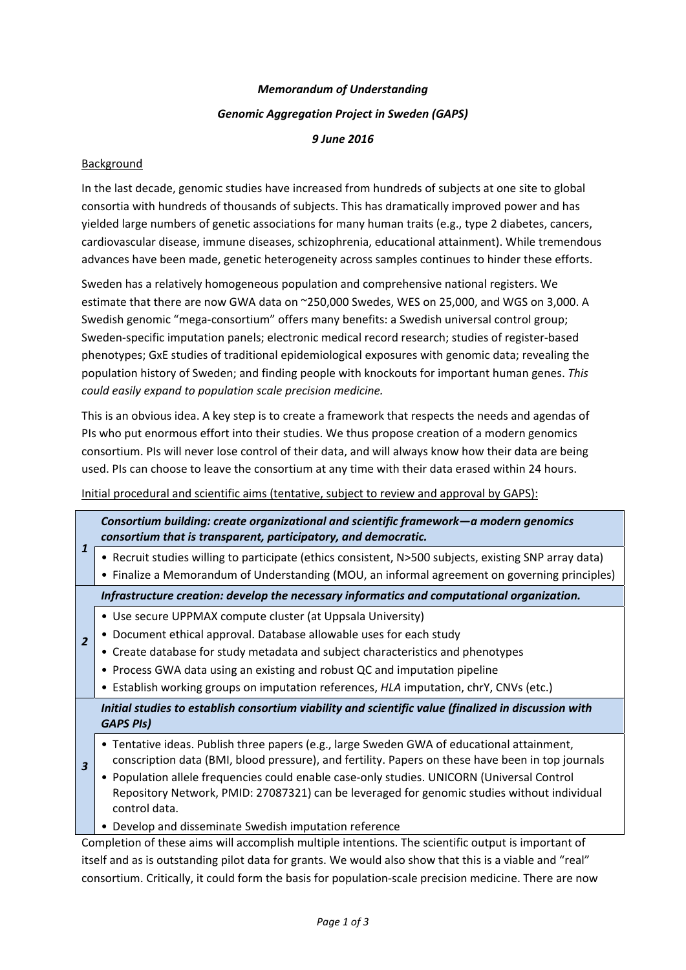# *Memorandum of Understanding Genomic Aggregation Project in Sweden (GAPS) 9 June 2016*

#### Background

In the last decade, genomic studies have increased from hundreds of subjects at one site to global consortia with hundreds of thousands of subjects. This has dramatically improved power and has yielded large numbers of genetic associations for many human traits (e.g., type 2 diabetes, cancers, cardiovascular disease, immune diseases, schizophrenia, educational attainment). While tremendous advances have been made, genetic heterogeneity across samples continues to hinder these efforts.

Sweden has a relatively homogeneous population and comprehensive national registers. We estimate that there are now GWA data on ~250,000 Swedes, WES on 25,000, and WGS on 3,000. A Swedish genomic "mega‐consortium" offers many benefits: a Swedish universal control group; Sweden‐specific imputation panels; electronic medical record research; studies of register‐based phenotypes; GxE studies of traditional epidemiological exposures with genomic data; revealing the population history of Sweden; and finding people with knockouts for important human genes. *This could easily expand to population scale precision medicine.*

This is an obvious idea. A key step is to create a framework that respects the needs and agendas of PIs who put enormous effort into their studies. We thus propose creation of a modern genomics consortium. PIs will never lose control of their data, and will always know how their data are being used. PIs can choose to leave the consortium at any time with their data erased within 24 hours.

Initial procedural and scientific aims (tentative, subject to review and approval by GAPS):

|  |                         | Consortium building: create organizational and scientific framework-a modern genomics<br>consortium that is transparent, participatory, and democratic.                                                    |
|--|-------------------------|------------------------------------------------------------------------------------------------------------------------------------------------------------------------------------------------------------|
|  | $\mathbf{1}$            | • Recruit studies willing to participate (ethics consistent, N>500 subjects, existing SNP array data)                                                                                                      |
|  |                         | • Finalize a Memorandum of Understanding (MOU, an informal agreement on governing principles)                                                                                                              |
|  |                         | Infrastructure creation: develop the necessary informatics and computational organization.                                                                                                                 |
|  |                         | • Use secure UPPMAX compute cluster (at Uppsala University)                                                                                                                                                |
|  | $\overline{2}$          | Document ethical approval. Database allowable uses for each study<br>٠                                                                                                                                     |
|  |                         | • Create database for study metadata and subject characteristics and phenotypes                                                                                                                            |
|  |                         | • Process GWA data using an existing and robust QC and imputation pipeline                                                                                                                                 |
|  |                         | • Establish working groups on imputation references, HLA imputation, chrY, CNVs (etc.)                                                                                                                     |
|  | $\overline{\mathbf{3}}$ | Initial studies to establish consortium viability and scientific value (finalized in discussion with<br><b>GAPS PIS)</b>                                                                                   |
|  |                         | • Tentative ideas. Publish three papers (e.g., large Sweden GWA of educational attainment,<br>conscription data (BMI, blood pressure), and fertility. Papers on these have been in top journals            |
|  |                         | • Population allele frequencies could enable case-only studies. UNICORN (Universal Control<br>Repository Network, PMID: 27087321) can be leveraged for genomic studies without individual<br>control data. |
|  |                         | • Develop and disseminate Swedish imputation reference                                                                                                                                                     |

Completion of these aims will accomplish multiple intentions. The scientific output is important of itself and as is outstanding pilot data for grants. We would also show that this is a viable and "real" consortium. Critically, it could form the basis for population-scale precision medicine. There are now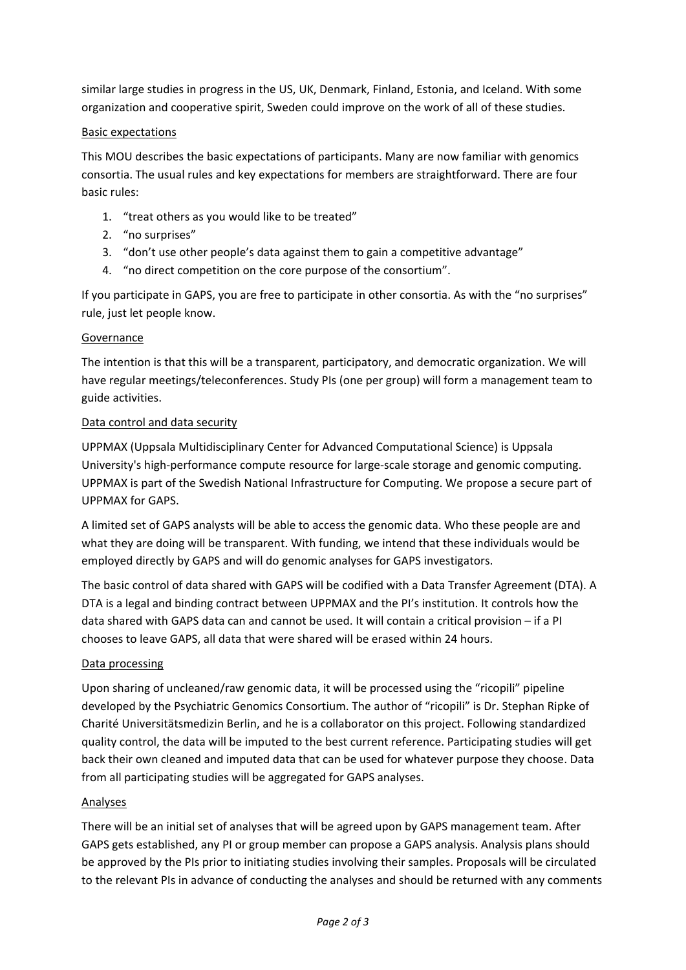similar large studies in progress in the US, UK, Denmark, Finland, Estonia, and Iceland. With some organization and cooperative spirit, Sweden could improve on the work of all of these studies.

## Basic expectations

This MOU describes the basic expectations of participants. Many are now familiar with genomics consortia. The usual rules and key expectations for members are straightforward. There are four basic rules:

- 1. "treat others as you would like to be treated"
- 2. "no surprises"
- 3. "don't use other people's data against them to gain a competitive advantage"
- 4. "no direct competition on the core purpose of the consortium".

If you participate in GAPS, you are free to participate in other consortia. As with the "no surprises" rule, just let people know.

### Governance

The intention is that this will be a transparent, participatory, and democratic organization. We will have regular meetings/teleconferences. Study PIs (one per group) will form a management team to guide activities.

#### Data control and data security

UPPMAX (Uppsala Multidisciplinary Center for Advanced Computational Science) is Uppsala University's high‐performance compute resource for large‐scale storage and genomic computing. UPPMAX is part of the Swedish National Infrastructure for Computing. We propose a secure part of UPPMAX for GAPS.

A limited set of GAPS analysts will be able to access the genomic data. Who these people are and what they are doing will be transparent. With funding, we intend that these individuals would be employed directly by GAPS and will do genomic analyses for GAPS investigators.

The basic control of data shared with GAPS will be codified with a Data Transfer Agreement (DTA). A DTA is a legal and binding contract between UPPMAX and the PI's institution. It controls how the data shared with GAPS data can and cannot be used. It will contain a critical provision – if a PI chooses to leave GAPS, all data that were shared will be erased within 24 hours.

### Data processing

Upon sharing of uncleaned/raw genomic data, it will be processed using the "ricopili" pipeline developed by the Psychiatric Genomics Consortium. The author of "ricopili" is Dr. Stephan Ripke of Charité Universitätsmedizin Berlin, and he is a collaborator on this project. Following standardized quality control, the data will be imputed to the best current reference. Participating studies will get back their own cleaned and imputed data that can be used for whatever purpose they choose. Data from all participating studies will be aggregated for GAPS analyses.

### Analyses

There will be an initial set of analyses that will be agreed upon by GAPS management team. After GAPS gets established, any PI or group member can propose a GAPS analysis. Analysis plans should be approved by the PIs prior to initiating studies involving their samples. Proposals will be circulated to the relevant PIs in advance of conducting the analyses and should be returned with any comments